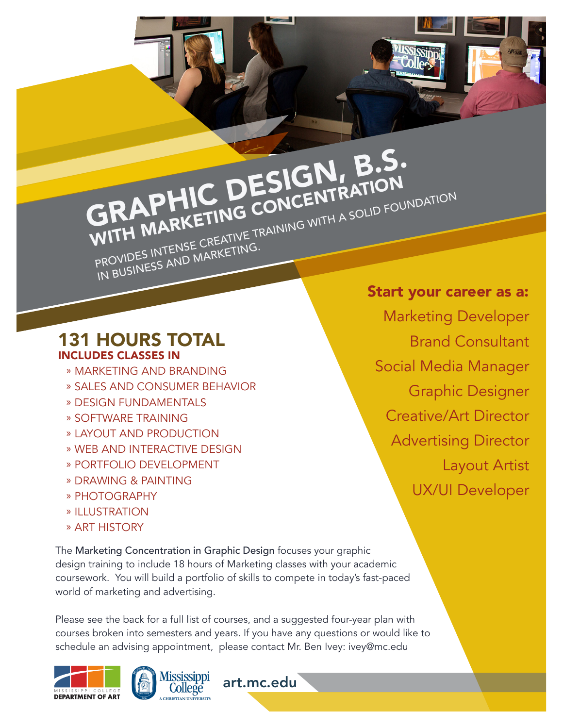## **GRAPHIC DESIGN, B.S.**<br>GRAPHIC CONCENTRATION WITH MARKETING CONCENTRATION PROVIDES INTENSE CREATIVE TRAINING WITH A SOLID FOUNDATION IN BUSINESS AND MARKETING.

131 HOURS TOTAL INCLUDES CLASSES IN

- » MARKETING AND BRANDING
- » SALES AND CONSUMER BEHAVIOR
- » DESIGN FUNDAMENTALS
- » SOFTWARE TRAINING
- » LAYOUT AND PRODUCTION
- » WEB AND INTERACTIVE DESIGN
- » PORTFOLIO DEVELOPMENT
- » DRAWING & PAINTING
- » PHOTOGRAPHY
- » ILLUSTRATION
- » ART HISTORY

The Marketing Concentration in Graphic Design focuses your graphic design training to include 18 hours of Marketing classes with your academic coursework. You will build a portfolio of skills to compete in today's fast-paced world of marketing and advertising.

Please see the back for a full list of courses, and a suggested four-year plan with courses broken into semesters and years. If you have any questions or would like to schedule an advising appointment, please contact Mr. Ben Ivey: ivey@mc.edu

art.mc.edu